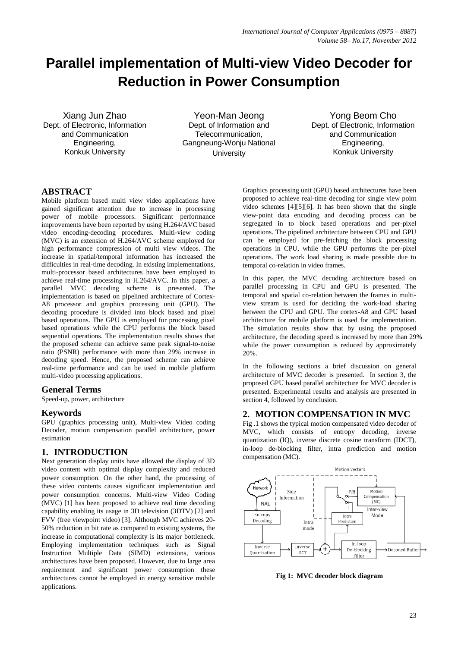# **Parallel implementation of Multi-view Video Decoder for Reduction in Power Consumption**

Xiang Jun Zhao Dept. of Electronic, Information and Communication Engineering, Konkuk University

Yeon-Man Jeong Dept. of Information and Telecommunication, Gangneung-Wonju National **University** 

Yong Beom Cho Dept. of Electronic, Information and Communication Engineering, Konkuk University

# **ABSTRACT**

Mobile platform based multi view video applications have gained significant attention due to increase in processing power of mobile processors. Significant performance improvements have been reported by using H.264/AVC based video encoding-decoding procedures. Multi-view coding (MVC) is an extension of H.264/AVC scheme employed for high performance compression of multi view videos. The increase in spatial/temporal information has increased the difficulties in real-time decoding. In existing implementations, multi-processor based architectures have been employed to achieve real-time processing in H.264/AVC. In this paper, a parallel MVC decoding scheme is presented. The implementation is based on pipelined architecture of Cortex-A8 processor and graphics processing unit (GPU). The decoding procedure is divided into block based and pixel based operations. The GPU is employed for processing pixel based operations while the CPU performs the block based sequential operations. The implementation results shows that the proposed scheme can achieve same peak signal-to-noise ratio (PSNR) performance with more than 29% increase in decoding speed. Hence, the proposed scheme can achieve real-time performance and can be used in mobile platform multi-video processing applications.

# **General Terms**

Speed-up, power, architecture

# **Keywords**

GPU (graphics processing unit), Multi-view Video coding Decoder, motion compensation parallel architecture, power estimation

# **1. INTRODUCTION**

Next generation display units have allowed the display of 3D video content with optimal display complexity and reduced power consumption. On the other hand, the processing of these video contents causes significant implementation and power consumption concerns. Multi-view Video Coding (MVC) [1] has been proposed to achieve real time decoding capability enabling its usage in 3D television (3DTV) [2] and FVV (free viewpoint video) [3]. Although MVC achieves 20- 50% reduction in bit rate as compared to existing systems, the increase in computational complexity is its major bottleneck. Employing implementation techniques such as Signal Instruction Multiple Data (SIMD) extensions, various architectures have been proposed. However, due to large area requirement and significant power consumption these architectures cannot be employed in energy sensitive mobile applications.

Graphics processing unit (GPU) based architectures have been proposed to achieve real-time decoding for single view point video schemes [4][5][6]. It has been shown that the single view-point data encoding and decoding process can be segregated in to block based operations and per-pixel operations. The pipelined architecture between CPU and GPU can be employed for pre-fetching the block processing operations in CPU, while the GPU performs the per-pixel operations. The work load sharing is made possible due to temporal co-relation in video frames.

In this paper, the MVC decoding architecture based on parallel processing in CPU and GPU is presented. The temporal and spatial co-relation between the frames in multiview stream is used for deciding the work-load sharing between the CPU and GPU. The cortex-A8 and GPU based architecture for mobile platform is used for implementation. The simulation results show that by using the proposed architecture, the decoding speed is increased by more than 29% while the power consumption is reduced by approximately 20%.

In the following sections a brief discussion on general architecture of MVC decoder is presented. In section 3, the proposed GPU based parallel architecture for MVC decoder is presented. Experimental results and analysis are presented in section 4, followed by conclusion.

# **2. MOTION COMPENSATION IN MVC**

Fig .1 shows the typical motion compensated video decoder of MVC, which consists of entropy decoding, inverse quantization (IQ), inverse discrete cosine transform (IDCT), in-loop de-blocking filter, intra prediction and motion compensation (MC).



**Fig 1: MVC decoder block diagram**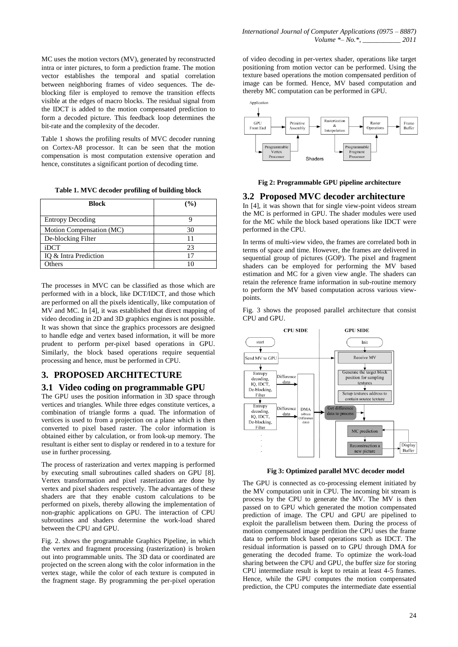MC uses the motion vectors (MV), generated by reconstructed intra or inter pictures, to form a prediction frame. The motion vector establishes the temporal and spatial correlation between neighboring frames of video sequences. The deblocking filer is employed to remove the transition effects visible at the edges of macro blocks. The residual signal from the IDCT is added to the motion compensated prediction to form a decoded picture. This feedback loop determines the bit-rate and the complexity of the decoder.

Table 1 shows the profiling results of MVC decoder running on Cortex-A8 processor. It can be seen that the motion compensation is most computation extensive operation and hence, constitutes a significant portion of decoding time.

**Table 1. MVC decoder profiling of building block**

| <b>Block</b>             | (%) |
|--------------------------|-----|
| <b>Entropy Decoding</b>  |     |
| Motion Compensation (MC) | 30  |
| De-blocking Filter       |     |
| iDCT                     | 23  |
| IQ & Intra Prediction    | 17  |
| <b>Others</b>            |     |

The processes in MVC can be classified as those which are performed with in a block, like DCT/IDCT, and those which are performed on all the pixels identically, like computation of MV and MC. In [4], it was established that direct mapping of video decoding in 2D and 3D graphics engines is not possible. It was shown that since the graphics processors are designed to handle edge and vertex based information, it will be more prudent to perform per-pixel based operations in GPU. Similarly, the block based operations require sequential processing and hence, must be performed in CPU.

# **3. PROPOSED ARCHITECTURE**

## **3.1 Video coding on programmable GPU**

The GPU uses the position information in 3D space through vertices and triangles. While three edges constitute vertices, a combination of triangle forms a quad. The information of vertices is used to from a projection on a plane which is then converted to pixel based raster. The color information is obtained either by calculation, or from look-up memory. The resultant is either sent to display or rendered in to a texture for use in further processing.

The process of rasterization and vertex mapping is performed by executing small subroutines called shaders on GPU [8]. Vertex transformation and pixel rasterization are done by vertex and pixel shaders respectively. The advantages of these shaders are that they enable custom calculations to be performed on pixels, thereby allowing the implementation of non-graphic applications on GPU. The interaction of CPU subroutines and shaders determine the work-load shared between the CPU and GPU.

Fig. 2. shows the programmable Graphics Pipeline, in which the vertex and fragment processing (rasterization) is broken out into programmable units. The 3D data or coordinated are projected on the screen along with the color information in the vertex stage, while the color of each texture is computed in the fragment stage. By programming the per-pixel operation

of video decoding in per-vertex shader, operations like target positioning from motion vector can be performed. Using the texture based operations the motion compensated perdition of image can be formed. Hence, MV based computation and thereby MC computation can be performed in GPU.



#### **Fig 2: Programmable GPU pipeline architecture**

## **3.2 Proposed MVC decoder architecture**

In [4], it was shown that for single view-point videos stream the MC is performed in GPU. The shader modules were used for the MC while the block based operations like IDCT were performed in the CPU.

In terms of multi-view video, the frames are correlated both in terms of space and time. However, the frames are delivered in sequential group of pictures (GOP). The pixel and fragment shaders can be employed for performing the MV based estimation and MC for a given view angle. The shaders can retain the reference frame information in sub-routine memory to perform the MV based computation across various viewpoints.

Fig. 3 shows the proposed parallel architecture that consist CPU and GPU.



**Fig 3: Optimized parallel MVC decoder model**

The GPU is connected as co-processing element initiated by the MV computation unit in CPU. The incoming bit stream is process by the CPU to generate the MV. The MV is then passed on to GPU which generated the motion compensated prediction of image. The CPU and GPU are pipelined to exploit the parallelism between them. During the process of motion compensated image perdition the CPU uses the frame data to perform block based operations such as IDCT. The residual information is passed on to GPU through DMA for generating the decoded frame. To optimize the work-load sharing between the CPU and GPU, the buffer size for storing CPU intermediate result is kept to retain at least 4-5 frames. Hence, while the GPU computes the motion compensated prediction, the CPU computes the intermediate date essential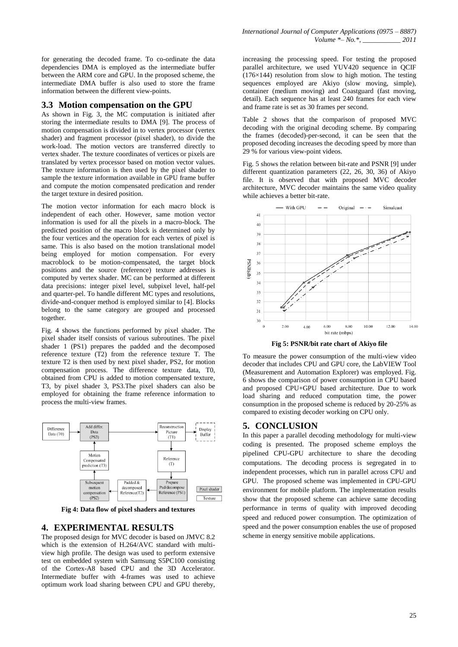for generating the decoded frame. To co-ordinate the data dependencies DMA is employed as the intermediate buffer between the ARM core and GPU. In the proposed scheme, the intermediate DMA buffer is also used to store the frame information between the different view-points.

## **3.3 Motion compensation on the GPU**

As shown in Fig. 3, the MC computation is initiated after storing the intermediate results to DMA [9]. The process of motion compensation is divided in to vertex processor (vertex shader) and fragment processor (pixel shader), to divide the work-load. The motion vectors are transferred directly to vertex shader. The texture coordinates of vertices or pixels are translated by vertex processor based on motion vector values. The texture information is then used by the pixel shader to sample the texture information available in GPU frame buffer and compute the motion compensated predication and render the target texture in desired position.

The motion vector information for each macro block is independent of each other. However, same motion vector information is used for all the pixels in a macro-block. The predicted position of the macro block is determined only by the four vertices and the operation for each vertex of pixel is same. This is also based on the motion translational model being employed for motion compensation. For every macroblock to be motion-compensated, the target block positions and the source (reference) texture addresses is computed by vertex shader. MC can be performed at different data precisions: integer pixel level, subpixel level, half-pel and quarter-pel. To handle different MC types and resolutions, divide-and-conquer method is employed similar to [4]. Blocks belong to the same category are grouped and processed together.

Fig. 4 shows the functions performed by pixel shader. The pixel shader itself consists of various subroutines. The pixel shader 1 (PS1) prepares the padded and the decomposed reference texture (T2) from the reference texture T. The texture T2 is then used by next pixel shader, PS2, for motion compensation process. The difference texture data, T0, obtained from CPU is added to motion compensated texture, T3, by pixel shader 3, PS3.The pixel shaders can also be employed for obtaining the frame reference information to process the multi-view frames.



**Fig 4: Data flow of pixel shaders and textures**

## **4. EXPERIMENTAL RESULTS**

The proposed design for MVC decoder is based on JMVC 8.2 which is the extension of H.264/AVC standard with multiview high profile. The design was used to perform extensive test on embedded system with Samsung S5PC100 consisting of the Cortex-A8 based CPU and the 3D Accelerator. Intermediate buffer with 4-frames was used to achieve optimum work load sharing between CPU and GPU thereby,

increasing the processing speed. For testing the proposed parallel architecture, we used YUV420 sequence in OCIF  $(176\times144)$  resolution from slow to high motion. The testing sequences employed are Akiyo (slow moving, simple), container (medium moving) and Coastguard (fast moving, detail). Each sequence has at least 240 frames for each view and frame rate is set as 30 frames per second.

Table 2 shows that the comparison of proposed MVC decoding with the original decoding scheme. By comparing the frames (decoded)-per-second, it can be seen that the proposed decoding increases the decoding speed by more than 29 % for various view-point videos.

Fig. 5 shows the relation between bit-rate and PSNR [9] under different quantization parameters (22, 26, 30, 36) of Akiyo file. It is observed that with proposed MVC decoder architecture, MVC decoder maintains the same video quality while achieves a better bit-rate.



**Fig 5: PSNR/bit rate chart of Akiyo file**

To measure the power consumption of the multi-view video decoder that includes CPU and GPU core, the LabVIEW Tool (Measurement and Automation Explorer) was employed. Fig. 6 shows the comparison of power consumption in CPU based and proposed CPU+GPU based architecture. Due to work load sharing and reduced computation time, the power consumption in the proposed scheme is reduced by 20-25% as compared to existing decoder working on CPU only.

## **5. CONCLUSION**

In this paper a parallel decoding methodology for multi-view coding is presented. The proposed scheme employs the pipelined CPU-GPU architecture to share the decoding computations. The decoding process is segregated in to independent processes, which run in parallel across CPU and GPU. The proposed scheme was implemented in CPU-GPU environment for mobile platform. The implementation results show that the proposed scheme can achieve same decoding performance in terms of quality with improved decoding speed and reduced power consumption. The optimization of speed and the power consumption enables the use of proposed scheme in energy sensitive mobile applications.